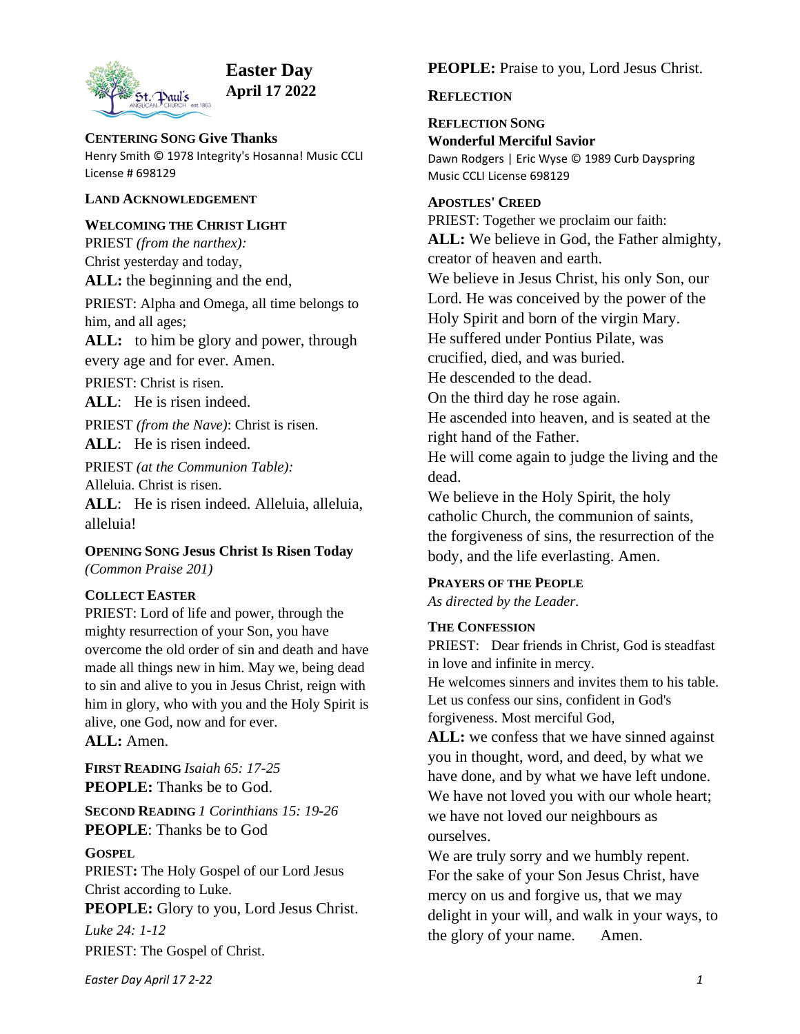

# **Easter Day April 17 2022**

**CENTERING SONG Give Thanks** Henry Smith © 1978 Integrity's Hosanna! Music CCLI License # 698129

## **LAND ACKNOWLEDGEMENT**

## **WELCOMING THE CHRIST LIGHT**

PRIEST *(from the narthex):*  Christ yesterday and today, **ALL:** the beginning and the end,

PRIEST: Alpha and Omega, all time belongs to him, and all ages;

ALL: to him be glory and power, through every age and for ever. Amen.

PRIEST: Christ is risen.

**ALL**: He is risen indeed.

PRIEST *(from the Nave)*: Christ is risen.

ALL: He is risen indeed.

PRIEST *(at the Communion Table):* Alleluia. Christ is risen.

**ALL**: He is risen indeed. Alleluia, alleluia, alleluia!

**OPENING SONG Jesus Christ Is Risen Today** *(Common Praise 201)*

# **COLLECT EASTER**

PRIEST: Lord of life and power, through the mighty resurrection of your Son, you have overcome the old order of sin and death and have made all things new in him. May we, being dead to sin and alive to you in Jesus Christ, reign with him in glory, who with you and the Holy Spirit is alive, one God, now and for ever.

**ALL:** Amen.

**FIRST READING** *Isaiah 65: 17-25* **PEOPLE:** Thanks be to God.

**SECOND READING** *1 Corinthians 15: 19-26* **PEOPLE**: Thanks be to God

# **GOSPEL**

PRIEST**:** The Holy Gospel of our Lord Jesus Christ according to Luke.

**PEOPLE:** Glory to you, Lord Jesus Christ.

*Luke 24: 1-12* PRIEST: The Gospel of Christ. **PEOPLE:** Praise to you, Lord Jesus Christ.

# **REFLECTION**

**REFLECTION SONG Wonderful Merciful Savior** Dawn Rodgers | Eric Wyse © 1989 Curb Dayspring Music CCLI License 698129

## **APOSTLES' CREED**

PRIEST: Together we proclaim our faith: **ALL:** We believe in God, the Father almighty, creator of heaven and earth. We believe in Jesus Christ, his only Son, our Lord. He was conceived by the power of the Holy Spirit and born of the virgin Mary. He suffered under Pontius Pilate, was crucified, died, and was buried. He descended to the dead. On the third day he rose again. He ascended into heaven, and is seated at the right hand of the Father. He will come again to judge the living and the dead. We believe in the Holy Spirit, the holy catholic Church, the communion of saints, the forgiveness of sins, the resurrection of the body, and the life everlasting. Amen.

# **PRAYERS OF THE PEOPLE**

*As directed by the Leader.*

# **THE CONFESSION**

PRIEST: Dear friends in Christ, God is steadfast in love and infinite in mercy. He welcomes sinners and invites them to his table.

Let us confess our sins, confident in God's forgiveness. Most merciful God,

**ALL:** we confess that we have sinned against you in thought, word, and deed, by what we have done, and by what we have left undone. We have not loved you with our whole heart; we have not loved our neighbours as ourselves.

We are truly sorry and we humbly repent. For the sake of your Son Jesus Christ, have mercy on us and forgive us, that we may delight in your will, and walk in your ways, to the glory of your name. Amen.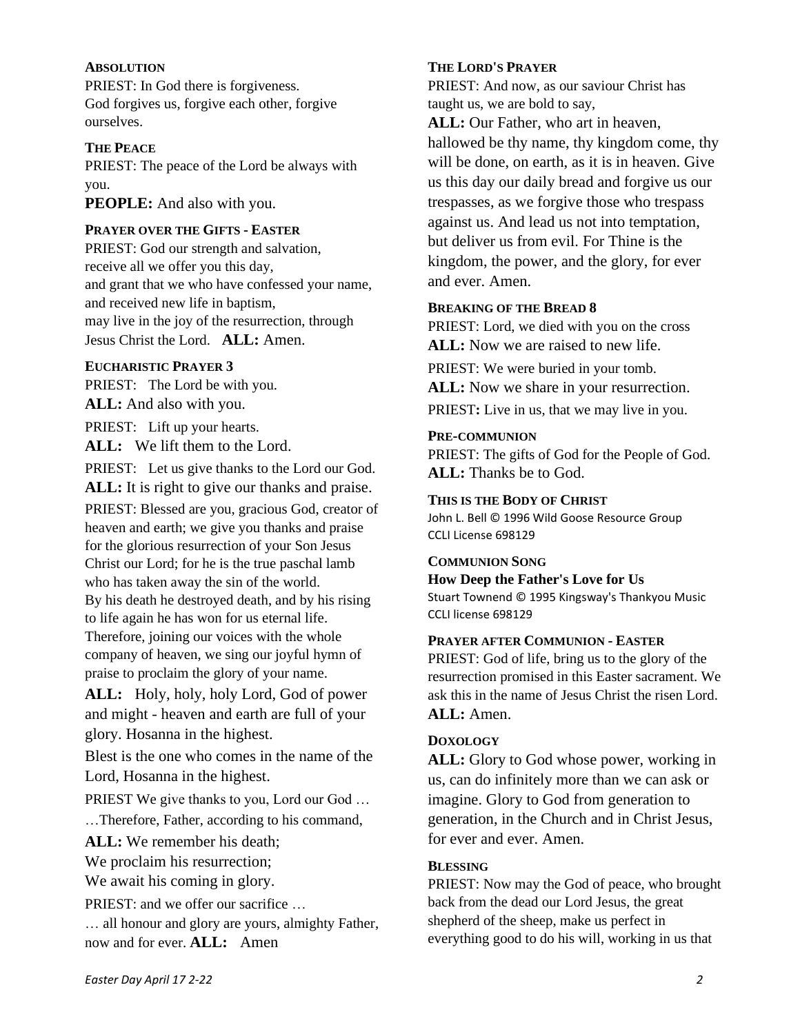#### **ABSOLUTION**

PRIEST: In God there is forgiveness. God forgives us, forgive each other, forgive ourselves.

#### **THE PEACE**

PRIEST: The peace of the Lord be always with you.

**PEOPLE:** And also with you.

## **PRAYER OVER THE GIFTS - EASTER**

PRIEST: God our strength and salvation, receive all we offer you this day, and grant that we who have confessed your name, and received new life in baptism, may live in the joy of the resurrection, through Jesus Christ the Lord. **ALL:** Amen.

# **EUCHARISTIC PRAYER 3**

PRIEST: The Lord be with you. **ALL:** And also with you.

PRIEST: Lift up your hearts.

**ALL:** We lift them to the Lord.

PRIEST: Let us give thanks to the Lord our God. **ALL:** It is right to give our thanks and praise.

PRIEST: Blessed are you, gracious God, creator of heaven and earth; we give you thanks and praise for the glorious resurrection of your Son Jesus Christ our Lord; for he is the true paschal lamb who has taken away the sin of the world. By his death he destroyed death, and by his rising to life again he has won for us eternal life. Therefore, joining our voices with the whole company of heaven, we sing our joyful hymn of praise to proclaim the glory of your name.

**ALL:** Holy, holy, holy Lord, God of power and might - heaven and earth are full of your glory. Hosanna in the highest.

Blest is the one who comes in the name of the Lord, Hosanna in the highest.

PRIEST We give thanks to you, Lord our God ... …Therefore, Father, according to his command,

**ALL:** We remember his death;

We proclaim his resurrection;

We await his coming in glory.

PRIEST: and we offer our sacrifice ...

… all honour and glory are yours, almighty Father, now and for ever. **ALL:** Amen

#### **THE LORD'S PRAYER**

PRIEST: And now, as our saviour Christ has taught us, we are bold to say,

**ALL:** Our Father, who art in heaven, hallowed be thy name, thy kingdom come, thy will be done, on earth, as it is in heaven. Give us this day our daily bread and forgive us our trespasses, as we forgive those who trespass against us. And lead us not into temptation, but deliver us from evil. For Thine is the kingdom, the power, and the glory, for ever and ever. Amen.

## **BREAKING OF THE BREAD 8**

PRIEST: Lord, we died with you on the cross **ALL:** Now we are raised to new life.

PRIEST: We were buried in your tomb.

**ALL:** Now we share in your resurrection.

PRIEST**:** Live in us, that we may live in you.

#### **PRE-COMMUNION**

PRIEST: The gifts of God for the People of God. **ALL:** Thanks be to God.

#### **THIS IS THE BODY OF CHRIST**

John L. Bell © 1996 Wild Goose Resource Group CCLI License 698129

#### **COMMUNION SONG**

**How Deep the Father's Love for Us** Stuart Townend © 1995 Kingsway's Thankyou Music CCLI license 698129

#### **PRAYER AFTER COMMUNION - EASTER**

PRIEST: God of life, bring us to the glory of the resurrection promised in this Easter sacrament. We ask this in the name of Jesus Christ the risen Lord. **ALL:** Amen.

#### **DOXOLOGY**

**ALL:** Glory to God whose power, working in us, can do infinitely more than we can ask or imagine. Glory to God from generation to generation, in the Church and in Christ Jesus, for ever and ever. Amen.

#### **BLESSING**

PRIEST: Now may the God of peace, who brought back from the dead our Lord Jesus, the great shepherd of the sheep, make us perfect in everything good to do his will, working in us that